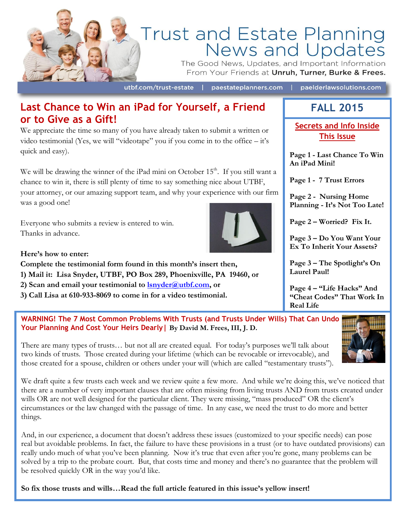

# Trust and Estate Planning<br>News and Updates

The Good News, Updates, and Important Information From Your Friends at Unruh, Turner, Burke & Frees.

utbf.com/trust-estate | paestateplanners.com | paelderlawsolutions.com

## **Last Chance to Win an iPad for Yourself, a Friend or to Give as a Gift!**

We appreciate the time so many of you have already taken to submit a written or video testimonial (Yes, we will "videotape" you if you come in to the office – it's quick and easy).

We will be drawing the winner of the iPad mini on October  $15<sup>th</sup>$ . If you still want a chance to win it, there is still plenty of time to say something nice about UTBF, your attorney, or our amazing support team, and why your experience with our firm was a good one!

Everyone who submits a review is entered to win. Thanks in advance.



**Here's how to enter:**

**Complete the testimonial form found in this month's insert then, 1) Mail it: Lisa Snyder, UTBF, PO Box 289, Phoenixville, PA 19460, or**

- **2) Scan and email your testimonial to [lsnyder@utbf.com,](mailto:lsnyder@utbf.com) or**
- **3) Call Lisa at 610-933-8069 to come in for a video testimonial.**

## **FALL 2015**

**Secrets and Info Inside This Issue**

**Page 1 - Last Chance To Win An iPad Mini!**

**Page 1 - 7 Trust Errors**

**Page 2 - Nursing Home Planning - It's Not Too Late!**

**Page 2 – Worried? Fix It.**

**Page 3 – Do You Want Your Ex To Inherit Your Assets?**

**Page 3 – The Spotlight's On Laurel Paul!**

**Page 4 – "Life Hacks" And "Cheat Codes" That Work In Real Life**

**WARNING! The 7 Most Common Problems With Trusts (and Trusts Under Wills) That Can Undo Your Planning And Cost Your Heirs Dearly| By David M. Frees, III, J. D.**

There are many types of trusts… but not all are created equal. For today's purposes we'll talk about two kinds of trusts. Those created during your lifetime (which can be revocable or irrevocable), and those created for a spouse, children or others under your will (which are called "testamentary trusts").

We draft quite a few trusts each week and we review quite a few more. And while we're doing this, we've noticed that there are a number of very important clauses that are often missing from living trusts AND from trusts created under wills OR are not well designed for the particular client. They were missing, "mass produced" OR the client's circumstances or the law changed with the passage of time. In any case, we need the trust to do more and better things.

And, in our experience, a document that doesn't address these issues (customized to your specific needs) can pose real but avoidable problems. In fact, the failure to have these provisions in a trust (or to have outdated provisions) can really undo much of what you've been planning. Now it's true that even after you're gone, many problems can be solved by a trip to the probate court. But, that costs time and money and there's no guarantee that the problem will be resolved quickly OR in the way you'd like.

**So fix those trusts and wills…Read the full article featured in this issue's yellow insert!**

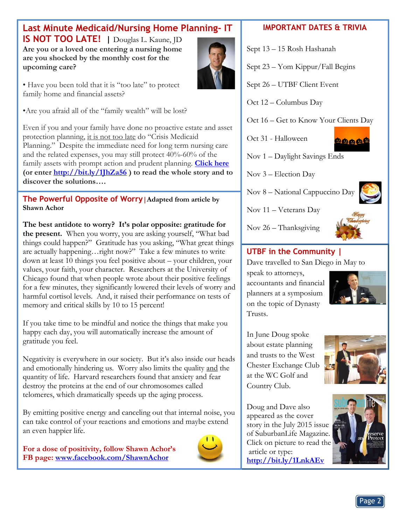# **[Last Minute Medicaid/Nursing Home Planning-](http://www.paelderlawsolutions.com/2015/05/crisis-medicaid-planning-reverse-half-a-loaf/) IT**

**IS NOT TOO LATE! |** Douglas L. Kaune, JD Are you or a loved one entering a nursing home **are you shocked by the monthly cost for the upcoming care?**

• Have you been told that it is "too late" to protect family home and financial assets?

•Are you afraid all of the "family wealth" will be lost?

Even if you and your family have done no proactive estate and asset protection planning, it is not too late do "Crisis Medicaid Planning." Despite the immediate need for long term nursing care and the related expenses, you may still protect 40%-60% of the family assets with prompt action and prudent planning. **[Click here](http://bit.ly/1JhZa56) (or enter<http://bit.ly/1JhZa56> ) to read the whole story and to discover the solutions….**

**The Powerful Opposite of Worry|Adapted from article by Shawn Achor**

**The best antidote to worry? It's polar opposite: gratitude for the present.** When you worry, you are asking yourself, "What bad things could happen?" Gratitude has you asking, "What great things are actually happening…right now?" Take a few minutes to write down at least 10 things you feel positive about – your children, your values, your faith, your character. Researchers at the University of Chicago found that when people wrote about their positive feelings for a few minutes, they significantly lowered their levels of worry and harmful cortisol levels. And, it raised their performance on tests of memory and critical skills by 10 to 15 percent!

If you take time to be mindful and notice the things that make you happy each day, you will automatically increase the amount of gratitude you feel.

Negativity is everywhere in our society. But it's also inside our heads and emotionally hindering us. Worry also limits the quality and the quantity of life. Harvard researchers found that anxiety and fear destroy the proteins at the end of our chromosomes called telomeres, which dramatically speeds up the aging process.

By emitting positive energy and canceling out that internal noise, you can take control of your reactions and emotions and maybe extend an even happier life.

**For a dose of positivity, follow Shawn Achor's FB page: [www.facebook.com/ShawnAchor](http://www.facebook.com/ShawnAchor)** 



#### **IMPORTANT DATES & TRIVIA**

Sept 13 – 15 Rosh Hashanah

Sept 23 – Yom Kippur/Fall Begins

Sept 26 – UTBF Client Event

Oct 12 – Columbus Day

Oct 16 – Get to Know Your Clients Day

Oct 31 - Halloween



Nov 1 – Daylight Savings Ends

Nov 3 – Election Day

Nov 8 – National Cappuccino Day

Nov 11 – Veterans Day



Nov 26 – Thanksgiving

#### **UTBF in the Community |**

Dave travelled to San Diego in May to

speak to attorneys, accountants and financial planners at a symposium on the topic of Dynasty Trusts.



In June Doug spoke about estate planning and trusts to the West Chester Exchange Club at the WC Golf and Country Club.

Doug and Dave also appeared as the cover story in the July 2015 issue of SuburbanLife Magazine. Click on picture to read the article or type: **<http://bit.ly/1LnkAEv>**

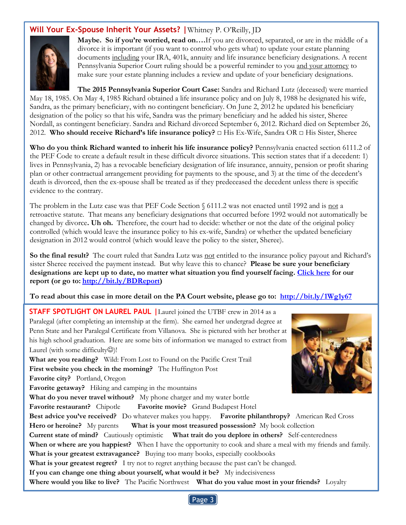#### **Will Your Ex-Spouse Inherit Your Assets? |**Whitney P. O'Reilly, JD



**Maybe. So if you're worried, read on….**If you are divorced, separated, or are in the middle of a divorce it is important (if you want to control who gets what) to update your estate planning documents including your IRA, 401k, annuity and life insurance beneficiary designations. A recent Pennsylvania Superior Court ruling should be a powerful reminder to you and your attorney to make sure your estate planning includes a review and update of your beneficiary designations.

**The 2015 Pennsylvania Superior Court Case:** Sandra and Richard Lutz (deceased) were married May 18, 1985. On May 4, 1985 Richard obtained a life insurance policy and on July 8, 1988 he designated his wife, Sandra, as the primary beneficiary, with no contingent beneficiary. On June 2, 2012 he updated his beneficiary designation of the policy so that his wife, Sandra was the primary beneficiary and he added his sister, Sheree Nordall, as contingent beneficiary. Sandra and Richard divorced September 6, 2012. Richard died on September 26, 2012. **Who should receive Richard's life insurance policy?** □ His Ex-Wife, Sandra OR **□** His Sister, Sheree

**Who do you think Richard wanted to inherit his life insurance policy?** Pennsylvania enacted section 6111.2 of the PEF Code to create a default result in these difficult divorce situations. This section states that if a decedent: 1) lives in Pennsylvania, 2) has a revocable beneficiary designation of life insurance, annuity, pension or profit sharing plan or other contractual arrangement providing for payments to the spouse, and 3) at the time of the decedent's death is divorced, then the ex-spouse shall be treated as if they predeceased the decedent unless there is specific evidence to the contrary.

The problem in the Lutz case was that PEF Code Section  $\S$  6111.2 was not enacted until 1992 and is not a retroactive statute. That means any beneficiary designations that occurred before 1992 would not automatically be changed by divorce**. Uh oh.** Therefore, the court had to decide: whether or not the date of the original policy controlled (which would leave the insurance policy to his ex-wife, Sandra) or whether the updated beneficiary designation in 2012 would control (which would leave the policy to the sister, Sheree).

**So the final result?** The court ruled that Sandra Lutz was not entitled to the insurance policy payout and Richard's sister Sheree received the payment instead. But why leave this to chance? **Please be sure your beneficiary designations are kept up to date, no matter what situation you find yourself facing. [Click here](http://bit.ly/BDReport) for our report (or go to: [http://bit.ly/BDReport\)](http://bit.ly/BDReport)** 

**To read about this case in more detail on the PA Court website, please go to: <http://bit.ly/1Wg1y67>**

**When or where are you happiest?** When I have the opportunity to cook and share a meal with my friends and family. **STAFF SPOTLIGHT ON LAUREL PAUL |**Laurel joined the UTBF crew in 2014 as a Paralegal (after completing an internship at the firm). She earned her undergrad degree at Penn State and her Paralegal Certificate from Villanova. She is pictured with her brother at his high school graduation. Here are some bits of information we managed to extract from Laurel (with some difficulty $\odot$ )! **What are you reading?** Wild: From Lost to Found on the Pacific Crest Trail **First website you check in the morning?** The Huffington Post **Favorite city?** Portland, Oregon **Favorite getaway?** Hiking and camping in the mountains **What do you never travel without?** My phone charger and my water bottle **Favorite restaurant?** Chipotle **Favorite movie?** Grand Budapest Hotel **Best advice you've received?** Do whatever makes you happy. **Favorite philanthropy?** American Red Cross **Hero or heroine?** My parents **What is your most treasured possession?** My book collection **Current state of mind?** Cautiously optimistic **What trait do you deplore in others?** Self-centeredness **What is your greatest extravagance?** Buying too many books, especially cookbooks **What is your greatest regret?** I try not to regret anything because the past can't be changed. **If you can change one thing about yourself, what would it be?** My indecisiveness **Where would you like to live?** The Pacific Northwest **What do you value most in your friends?** Loyalty



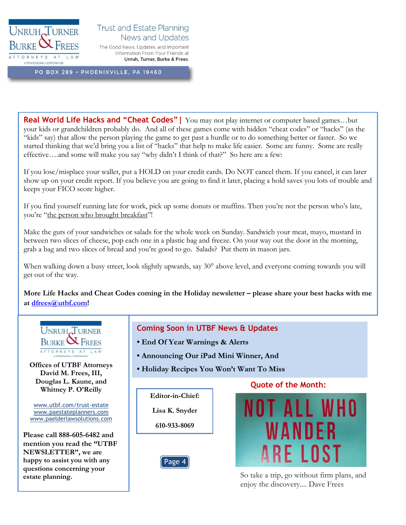

#### **Trust and Estate Planning** News and Updates

The Good News, Updates, and Important Information From Your Friends at Unruh, Turner, Burke & Frees.

PO BOX 289 · PHOENIXVILLE, PA 19460

**Real World Life Hacks and "Cheat Codes"|** You may not play internet or computer based games…but your kids or grandchildren probably do. And all of these games come with hidden "cheat codes" or "hacks" (as the "kids" say) that allow the person playing the game to get past a hurdle or to do something better or faster. So we started thinking that we'd bring you a list of "hacks" that help to make life easier. Some are funny. Some are really effective….and some will make you say "why didn't I think of that?" So here are a few:

If you lose/misplace your wallet, put a HOLD on your credit cards. Do NOT cancel them. If you cancel, it can later show up on your credit report. If you believe you are going to find it later, placing a hold saves you lots of trouble and keeps your FICO score higher.

If you find yourself running late for work, pick up some donuts or muffins. Then you're not the person who's late, you're "the person who brought breakfast"!

Make the guts of your sandwiches or salads for the whole week on Sunday. Sandwich your meat, mayo, mustard in between two slices of cheese, pop each one in a plastic bag and freeze. On your way out the door in the morning, grab a bag and two slices of bread and you're good to go. Salads? Put them in mason jars.

When walking down a busy street, look slightly upwards, say 30° above level, and everyone coming towards you will get out of the way.

**More Life Hacks and Cheat Codes coming in the Holiday newsletter – please share your best hacks with me at [dfrees@utbf.com!](mailto:dfrees@utbf.com)**



**David M. Frees, III, Douglas L. Kaune, and Whitney P. O'Reilly**

[www.utbf.com/trust-estate](http://www.utbf.com/trust-estate) [www.paestateplanners.com](http://www.paestateplanners.com/) [www.paelderlawsolutions.com](http://www.paelderlawsolutions.com/)

**Please call 888-605-6482 and mention you read the "UTBF NEWSLETTER", we are happy to assist you with any questions concerning your estate planning.**

#### **Coming Soon in UTBF News & Updates**

- **End Of Year Warnings & Alerts**
- **Announcing Our iPad Mini Winner, And**
- **Budday Recipes You Won't Want To Miss**

**Editor-in-Chief: Lisa K. Snyder 610-933-8069**



#### **Quote of the Month:**



So take a trip, go without firm plans, and enjoy the discovery.... Dave Frees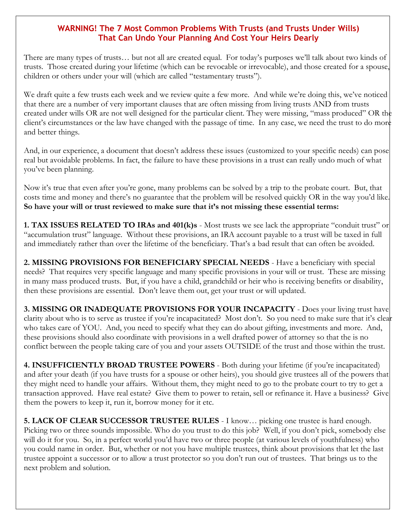#### **WARNING! The 7 Most Common Problems With Trusts (and Trusts Under Wills) That Can Undo Your Planning And Cost Your Heirs Dearly**

There are many types of trusts… but not all are created equal. For today's purposes we'll talk about two kinds of trusts. Those created during your lifetime (which can be revocable or irrevocable), and those created for a spouse, children or others under your will (which are called "testamentary trusts").

We draft quite a few trusts each week and we review quite a few more. And while we're doing this, we've noticed that there are a number of very important clauses that are often missing from living trusts AND from trusts created under wills OR are not well designed for the particular client. They were missing, "mass produced" OR the client's circumstances or the law have changed with the passage of time. In any case, we need the trust to do more and better things.

And, in our experience, a document that doesn't address these issues (customized to your specific needs) can pose real but avoidable problems. In fact, the failure to have these provisions in a trust can really undo much of what you've been planning.

Now it's true that even after you're gone, many problems can be solved by a trip to the probate court. But, that costs time and money and there's no guarantee that the problem will be resolved quickly OR in the way you'd like. **So have your will or trust reviewed to make sure that it's not missing these essential terms:**

**1. TAX ISSUES RELATED TO IRAs and 401(k)s** - Most trusts we see lack the appropriate "conduit trust" or "accumulation trust" language. Without these provisions, an IRA account payable to a trust will be taxed in full and immediately rather than over the lifetime of the beneficiary. That's a bad result that can often be avoided.

**2. MISSING PROVISIONS FOR BENEFICIARY SPECIAL NEEDS** - Have a beneficiary with special needs? That requires very specific language and many specific provisions in your will or trust. These are missing in many mass produced trusts. But, if you have a child, grandchild or heir who is receiving benefits or disability, then these provisions are essential. Don't leave them out, get your trust or will updated.

**3. MISSING OR INADEQUATE PROVISIONS FOR YOUR INCAPACITY** - Does your living trust have clarity about who is to serve as trustee if you're incapacitated? Most don't. So you need to make sure that it's clear who takes care of YOU. And, you need to specify what they can do about gifting, investments and more. And, these provisions should also coordinate with provisions in a well drafted power of attorney so that the is no conflict between the people taking care of you and your assets OUTSIDE of the trust and those within the trust.

**4. INSUFFICIENTLY BROAD TRUSTEE POWERS** - Both during your lifetime (if you're incapacitated) and after your death (if you have trusts for a spouse or other heirs), you should give trustees all of the powers that they might need to handle your affairs. Without them, they might need to go to the probate court to try to get a transaction approved. Have real estate? Give them to power to retain, sell or refinance it. Have a business? Give them the powers to keep it, run it, borrow money for it etc.

**5. LACK OF CLEAR SUCCESSOR TRUSTEE RULES** - I know… picking one trustee is hard enough. Picking two or three sounds impossible. Who do you trust to do this job? Well, if you don't pick, somebody else will do it for you. So, in a perfect world you'd have two or three people (at various levels of youthfulness) who you could name in order. But, whether or not you have multiple trustees, think about provisions that let the last trustee appoint a successor or to allow a trust protector so you don't run out of trustees. That brings us to the next problem and solution.